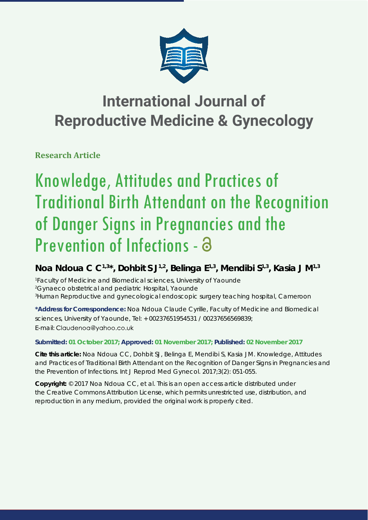

# **International Journal of Reproductive Medicine & Gynecology**

**Research Article**

# Knowledge, Attitudes and Practices of Traditional Birth Attendant on the Recognition of Danger Signs in Pregnancies and the Prevention of Infections - a

# **Noa Ndoua C C1,3\*, Dohbit S J1,2, Belinga E1,3, Mendibi S1,3, Kasia J M1,3**

*1 Faculty of Medicine and Biomedical sciences, University of Yaounde 2 Gynaeco obstetrical and pediatric Hospital, Yaounde 3 Human Reproductive and gynecological endoscopic surgery teaching hospital, Cameroon*

**\*Address for Correspondence:** Noa Ndoua Claude Cyrille, Faculty of Medicine and Biomedical sciences, University of Yaounde, Tel: + 00237651954531 / 00237656569839; E-mail: Claudenoa@yahoo.co.uk

# **Submitted: 01 October 2017; Approved: 01 November 2017; Published: 02 November 2017**

**Cite this article:** Noa Ndoua CC, Dohbit SJ, Belinga E, Mendibi S, Kasia JM. Knowledge, Attitudes and Practices of Traditional Birth Attendant on the Recognition of Danger Signs in Pregnancies and the Prevention of Infections. Int J Reprod Med Gynecol. 2017;3(2): 051-055.

**Copyright:** © 2017 Noa Ndoua CC, et al. This is an open access article distributed under the Creative Commons Attribution License, which permits unrestricted use, distribution, and reproduction in any medium, provided the original work is properly cited.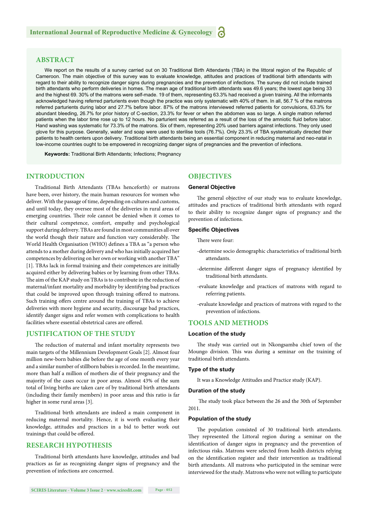# **ABSTRACT**

We report on the results of a survey carried out on 30 Traditional Birth Attendants (TBA) in the littoral region of the Republic of Cameroon. The main objective of this survey was to evaluate knowledge, attitudes and practices of traditional birth attendants with regard to their ability to recognize danger signs during pregnancies and the prevention of infections. The survey did not include trained birth attendants who perform deliveries in homes. The mean age of traditional birth attendants was 49.6 years; the lowest age being 33 and the highest 69. 30% of the matrons were self-made. 19 of them, representing 63.3% had received a given training. All the informants acknowledged having referred parturients even though the practice was only systematic with 40% of them. In all, 56.7 % of the matrons referred parturients during labor and 27.7% before labor. 87% of the matrons interviewed referred patients for convulsions, 63.3% for abundant bleeding, 26.7% for prior history of C-section, 23.3% for fever or when the abdomen was so large. A single matron referred patients when the labor time rose up to 12 hours. No parturient was referred as a result of the loss of the amniotic fluid before labor. Hand washing was systematic for 73.3% of the matrons. Six of them, representing 20% used barriers against infections. They only used glove for this purpose. Generally, water and soap were used to sterilise tools (76.7%). Only 23.3% of TBA systematically directed their patients to health centers upon delivery. Traditional birth attendants being an essential component in reducing maternal and neo-natal in low-income countries ought to be empowered in recognizing danger signs of pregnancies and the prevention of infections.

**Keywords:** Traditional Birth Attendants; Infections; Pregnancy

# **INTRODUCTION**

Traditional Birth Attendants (TBAs henceforth) or matrons have been, over history, the main human resources for women who deliver. With the passage of time, depending on cultures and customs, and until today, they oversee most of the deliveries in rural areas of emerging countries. Their role cannot be denied when it comes to their cultural competence, comfort, empathy and psychological support during delivery. TBAs are found in most communities all over the world though their nature and function vary considerably. The World Health Organisation (WHO) defines a TBA as "a person who attends to a mother during delivery and who has initially acquired her competences by delivering on her own or working with another TBA" [1]. TBAs lack in formal training and their competences are initially acquired either by delivering babies or by learning from other TBAs. The aim of the KAP study on TBAs is to contribute in the reduction of maternal/infant mortality and morbidity by identifying bad practices that could be improved upon through training offered to matrons. Such training offers centre around the training of TBAs to achieve deliveries with more hygiene and security, discourage bad practices, identify danger signs and refer women with complications to health facilities where essential obstetrical cares are offered.

# **JUSTIFICATION OF THE STUDY**

The reduction of maternal and infant mortality represents two main targets of the Millennium Development Goals [2]. Almost four million new-born babies die before the age of one month every year and a similar number of stillborn babies is recorded. In the meantime, more than half a million of mothers die of their pregnancy and the majority of the cases occur in poor areas. Almost 43% of the sum total of living births are taken care of by traditional birth attendants (including their family members) in poor areas and this ratio is far higher in some rural areas [3].

Traditional birth attendants are indeed a main component in reducing maternal mortality. Hence, it is worth evaluating their knowledge, attitudes and practices in a bid to better work out trainings that could be offered.

# **RESEARCH HYPOTHESIS**

Traditional birth attendants have knowledge, attitudes and bad practices as far as recognizing danger signs of pregnancy and the prevention of infections are concerned.

# **OBJECTIVES**

# **General Objective**

The general objective of our study was to evaluate knowledge, attitudes and practices of traditional birth attendants with regard to their ability to recognize danger signs of pregnancy and the prevention of infections.

#### **Specific Objectives**

There were four:

- -determine socio demographic characteristics of traditional birth attendants.
- -determine different danger signs of pregnancy identified by traditional birth attendants.
- -evaluate knowledge and practices of matrons with regard to referring patients.
- -evaluate knowledge and practices of matrons with regard to the prevention of infections.

# **TOOLS AND METHODS**

#### **Location of the study**

The study was carried out in Nkongsamba chief town of the Moungo division. This was during a seminar on the training of traditional birth attendants.

## **Type of the study**

It was a Knowledge Attitudes and Practice study (KAP).

#### **Duration of the study**

The study took place between the 26 and the 30th of September 2011.

#### **Population of the study**

The population consisted of 30 traditional birth attendants. They represented the Littoral region during a seminar on the identification of danger signs in pregnancy and the prevention of infectious risks. Matrons were selected from health districts relying on the identification register and their intervention as traditional birth attendants. All matrons who participated in the seminar were interviewed for the study. Matrons who were not willing to participate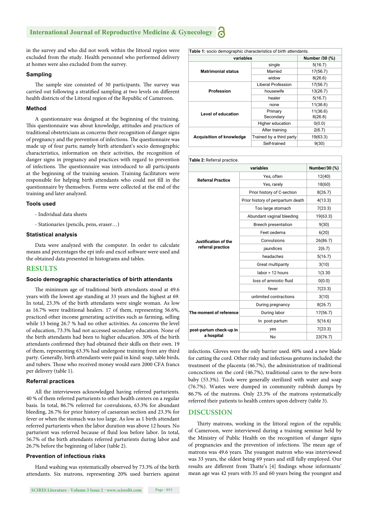# **International Journal of Reproductive Medicine & Gynecology**

in the survey and who did not work within the littoral region were excluded from the study. Health personnel who performed delivery at homes were also excluded from the survey.

#### **Sampling**

The sample size consisted of 30 participants. The survey was carried out following a stratified sampling at two levels on different health districts of the Littoral region of the Republic of Cameroon.

#### **Method**

A questionnaire was designed at the beginning of the training. This questionnaire was about knowledge, attitudes and practices of traditional obstetricians as concerns their recognition of danger signs of pregnancy and the prevention of infections. The questionnaire was made up of four parts; namely birth attendant's socio demographic characteristics, information on their activities, the recognition of danger signs in pregnancy and practices with regard to prevention of infections. The questionnaire was introduced to all participants at the beginning of the training session. Training facilitators were responsible for helping birth attendants who could not fill in the questionnaire by themselves. Forms were collected at the end of the training and later analyzed.

#### **Tools used**

- Individual data sheets
- Stationaries (pencils, pens, eraser…)

#### **Statistical analysis**

Data were analyzed with the computer. In order to calculate means and percentages the epi info and excel software were used and the obtained data presented in histograms and tables.

### **RESULTS**

#### **Socio demographic characteristics of birth attendants**

The minimum age of traditional birth attendants stood at 49.6 years with the lowest age standing at 33 years and the highest at 69. In total, 23.3% of the birth attendants were single woman. As low as 16.7% were traditional healers. 17 of them, representing 56.6%, practiced other income generating activities such as farming, selling while 13 being 26.7 % had no other activities. As concerns the level of education, 73.3% had not accessed secondary education. None of the birth attendants had been to higher education. 30% of the birth attendants confirmed they had obtained their skills on their own. 19 of them, representing 63.3% had undergone training from any third party. Generally, birth attendants were paid in kind: soap, table birds, and tubers. Those who received money would earn 2000 CFA francs per delivery (table 1).

#### **Referral practices**

All the interviewees acknowledged having referred parturients. 40 % of them referred parturients to other health centers on a regular basis. In total, 86.7% referred for convulsions, 63.3% for abundant bleeding, 26.7% for prior history of caesarean section and 23.3% for fever or when the stomach was too large. As low as 1 birth attendant referred parturients when the labor duration was above 12 hours. No parturient was referred because of fluid loss before labor. In total, 56.7% of the birth attendants referred parturients during labor and 26.7% before the beginning of labor (table 2).

#### **Prevention of infectious risks**

Hand washing was systematically observed by 73.3% of the birth attendants. Six matrons, representing 20% used barriers against

| <b>Table 1:</b> socio demographic characteristics of birth attendants. |                          |          |  |  |
|------------------------------------------------------------------------|--------------------------|----------|--|--|
| variables                                                              | Number /30 (%)           |          |  |  |
| <b>Matrimonial status</b>                                              | single                   | 5(16.7)  |  |  |
|                                                                        | Married                  | 17(56.7) |  |  |
|                                                                        | widow                    | 8(26.6)  |  |  |
| <b>Profession</b>                                                      | Liberal Profession       | 17(56.7) |  |  |
|                                                                        | housewife                | 13(26.7) |  |  |
|                                                                        | healer                   | 5(16.7)  |  |  |
| Level of education                                                     | none                     | 11(36.6) |  |  |
|                                                                        | Primary                  | 11(36.6) |  |  |
|                                                                        | Secondary                | 8(26.8)  |  |  |
|                                                                        | Higher education         | 0(0.0)   |  |  |
| <b>Acquisition of knowledge</b>                                        | After training           | 2(6.7)   |  |  |
|                                                                        | Trained by a third party | 19(63.3) |  |  |
|                                                                        | Self-trained             | 9(30)    |  |  |

| Table 2: Referral practice.               |                                   |               |  |  |
|-------------------------------------------|-----------------------------------|---------------|--|--|
| variables                                 |                                   | Number/30 (%) |  |  |
| <b>Referral Practice</b>                  | Yes, often                        | 12(40)        |  |  |
|                                           | Yes, rarely                       | 18(60)        |  |  |
| Justification of the<br>referral practice | Prior history of C-section        | 8(26.7)       |  |  |
|                                           | Prior history of peripartum death | 4(13.3)       |  |  |
|                                           | Too large stomach                 | 7(23.3)       |  |  |
|                                           | Abundant vaginal bleeding         | 19(63.3)      |  |  |
|                                           | <b>Breech presentation</b>        | 9(30)         |  |  |
|                                           | Feet oedema                       | 6(20)         |  |  |
|                                           | Convulsions                       | 26(86.7)      |  |  |
|                                           | jaundices                         | 2(6.7)        |  |  |
|                                           | headaches                         | 5(16.7)       |  |  |
|                                           | Great multiparity                 | 3(10)         |  |  |
|                                           | labor > 12 hours                  | 1(3.30)       |  |  |
|                                           | loss of amniotic fluid            | 0(0.0)        |  |  |
|                                           | fever                             | 7(23.3)       |  |  |
|                                           | unlimited contractions            | 3(10)         |  |  |
| The moment of reference                   | During pregnancy                  | 8(26.7)       |  |  |
|                                           | During labor                      | 17(56.7)      |  |  |
|                                           | In post-partum                    | 5(16.6)       |  |  |
| post-partum check-up in<br>a hospital     | yes                               | 7(23.3)       |  |  |
|                                           | No                                | 23(76.7)      |  |  |

infections. Gloves were the only barrier used. 60% used a new blade for cutting the cord. Other risky and infectious gestures included: the treatment of the placenta (46.7%), the administration of traditional concoctions on the cord (46.7%), traditional cares to the new-born baby (53.3%). Tools were generally sterilized with water and soap (76.7%). Wastes were dumped in community rubbish dumps by 86.7% of the matrons. Only 23.3% of the matrons systematically referred their patients to health centers upon delivery (table 3).

# **DISCUSSION**

Thirty matrons, working in the littoral region of the republic of Cameroon, were interviewed during a training seminar held by the Ministry of Public Health on the recognition of danger signs of pregnancies and the prevention of infections. The mean age of matrons was 49.6 years. The youngest matron who was interviewed was 33 years, the oldest being 69 years and still fully employed. Our results are different from Thatte's [4] findings whose informants' mean age was 42 years with 35 and 60 years being the youngest and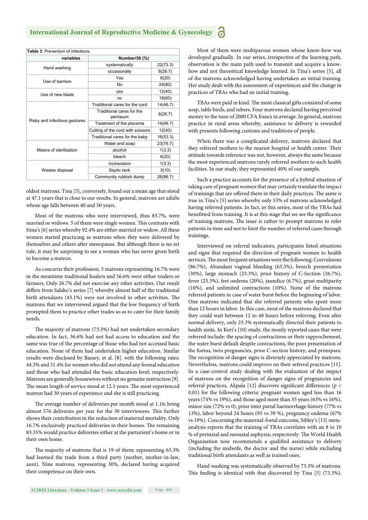| Table 3: Prevention of infections. |                                       |          |  |  |
|------------------------------------|---------------------------------------|----------|--|--|
| variables                          | Number/30 (%)                         |          |  |  |
| Hand washing                       | systematically                        | 22(73.3) |  |  |
|                                    | occasionally                          | 8(26.7)  |  |  |
| Use of barriers                    | Yes                                   | 6(20)    |  |  |
|                                    | No.                                   | 24(80)   |  |  |
| Use of new blade                   | yes                                   | 12(40)   |  |  |
|                                    | no                                    | 18(60)   |  |  |
| Risky and infectious gestures      | Traditional cares for the cord        | 14(46.7) |  |  |
|                                    | Traditional cares for the<br>perineum | 8(26.7)  |  |  |
|                                    | Treatment of the placenta             | 14(46.7) |  |  |
|                                    | Cutting of the cord with scissors     | 12(40)   |  |  |
|                                    | Traditional cares for the baby        | 16(53.3) |  |  |
| Means of sterilisation             | Water and soap                        | 23(76.7) |  |  |
|                                    | alcohol                               | 1(3.3)   |  |  |
|                                    | bleach                                | 6(20)    |  |  |
| Wastes disposal                    | Incineration                          | 1(3.3)   |  |  |
|                                    | Septic tank                           | 3(10)    |  |  |
|                                    | Community rubbish dump                | 26(86.7) |  |  |

oldest matrons. Tina [5], conversely, found out a mean age that stood at 47.1 years that is close to our results. In general, matrons are adults whose age falls between 40 and 50 years.

Most of the matrons who were interviewed, thus 83.7%, were married or widows. 5 of them were single women. This contrasts with Itina's [6] series whereby 92.4% are either married or widow. All these women started practicing as matrons when they were delivered by themselves and others after menopause. But although there is no set rule, it may be surprising to see a woman who has never given birth to become a matron.

As concerns their profession, 5 matrons representing 16.7% were in the meantime traditional healers and 56.6% were either traders or farmers. Only 26.7% did not exercise any other activities. Our result differs from Salako's series [7] whereby almost half of the traditional birth attendants  $(43.1\%)$  were not involved in other activities. The matrons that we interviewed argued that the low frequency of birth prompted them to practice other trades so as to cater for their family needs.

The majority of matrons (73.3%) had not undertaken secondary education. In fact, 36.6% had not had access to education and the same was true of the percentage of those who had not accessed basic education. None of them had undertaken higher education. Similar results were disclosed by Bassey, et al. [8]. with the following rates: 44.3% and 31.4% for women who did not attend any formal education and those who had attended the basic education level; respectively. Matrons are generally housewives without no genuine instruction [9]. The mean length of service stood at 12.1 years. The most experienced matron had 30 years of experience and she is still practicing.

The average number of deliveries per month stood at 1.16; being almost 576 deliveries per year for the 30 interviewees. This further shows their contribution in the reduction of maternal mortality. Only 16.7% exclusively practiced deliveries in their homes. The remaining 83.35% would practice deliveries either at the parturient's home or in their own home.

The majority of matrons that is 19 of them; representing 63.3% had learned the trade from a third party (mother, mother-in-law, aunt). Nine matrons, representing 30%, declared having acquired their competence on their own.

Most of them were multiparous women whose know-how was developed gradually. In our series, irrespective of the learning path, observation is the main path used to transmit and acquire a knowhow and not theoretical knowledge learned. In Tina's series [5], all of the matrons acknowledged having undertaken an initial training. Her study dealt with the assessment of experiences and the change in practices of TBAs who had an initial training.

TBAs were paid in kind. The most classical gifts consisted of some soap, table birds, and tubers. Four matrons declared having perceived money to the tune of 2000 CFA francs in average. In general, matrons practice in rural areas whereby, assistance to delivery is rewarded with presents following customs and traditions of people.

When there was a complicated delivery, matrons declared that they referred mothers to the nearest hospital or health center. Their attitude towards reference was not, however, always the same because the most experienced matrons rarely referred mothers to such health facilities. In our study, they represented 40% of our sample.

Such a practice accounts for the presence of a hybrid situation of taking care of pregnant women that may certainly translate the impact of trainings that are offered them in their daily practices. The same is true in Tina's [5] series whereby only 53% of matrons acknowledged having referred patients. In fact, in this series, most of the TBAs had benefitted from training. It is at this stage that we see the significance of training matrons. The issue is rather to prompt matrons to refer patients in time and not to limit the number of referred cases through trainings.

Interviewed on referral indicators, participants listed situations and signs that required the direction of pregnant women to health services. The most frequent situations were the following: Convulsions (86.7%), Abundant vaginal bleeding (63.3%), breech presentation (30%), large stomach (23.3%), prior history of C-Section (26.7%), fever (23.3%), feet oedema (20%), jaundice (6.7%), great multiparity (10%), and unlimited contractions (10%). None of the matrons referred patients in case of water burst before the beginning of labor. One matrons indicated that she referred patients who spent more than 12 hours in labor. In this case, most of the matrons declared that they could wait between 12 to 48 hours before referring. Even after normal delivery, only 23.3% systematically directed their patients to health units. In Keri's [10] study, the mostly reported cases that were referred include: the spacing of contractions or their rapprochement, the water burst default despite contractions, the poor presentation of the foetus, twin pregnancies, prior C-section history, and primipara. The recognition of danger signs is diversely appreciated by matrons. Nevertheless, matrons could improve on their referral practices [11]. In a case-control study dealing with the evaluation of the impact of matrons on the recognition of danger signs of pregnancies and referral practices, Akpala [12] discovers significant differences ( $p <$ 0.01) for the following criteria: pregnant women aged less than 16 years (74% vs 19%), and those aged more than 35 years (63% vs 16%), minor size (72% vs 0), prior inter partal haemorrhage history (77% vs 13%), labor beyond 24 hours (95 vs 39 %), pregnancy oedema (67% vs 19%). Concerning the maternal-foetal outcome, Sibley's [13] metaanalysis reports that the training of TBAs correlates with an 8 to 10 % of perinatal and neonatal asphyxia; respectively. The World Health Organisation now recommends a qualified assistance to delivery (including the midwife, the doctor and the nurse) while excluding traditional birth attendants as well as trained ones.

Hand washing was systematically observed by 73.3% of matrons. This finding is identical with that discovered by Tina [5] (73.3%).